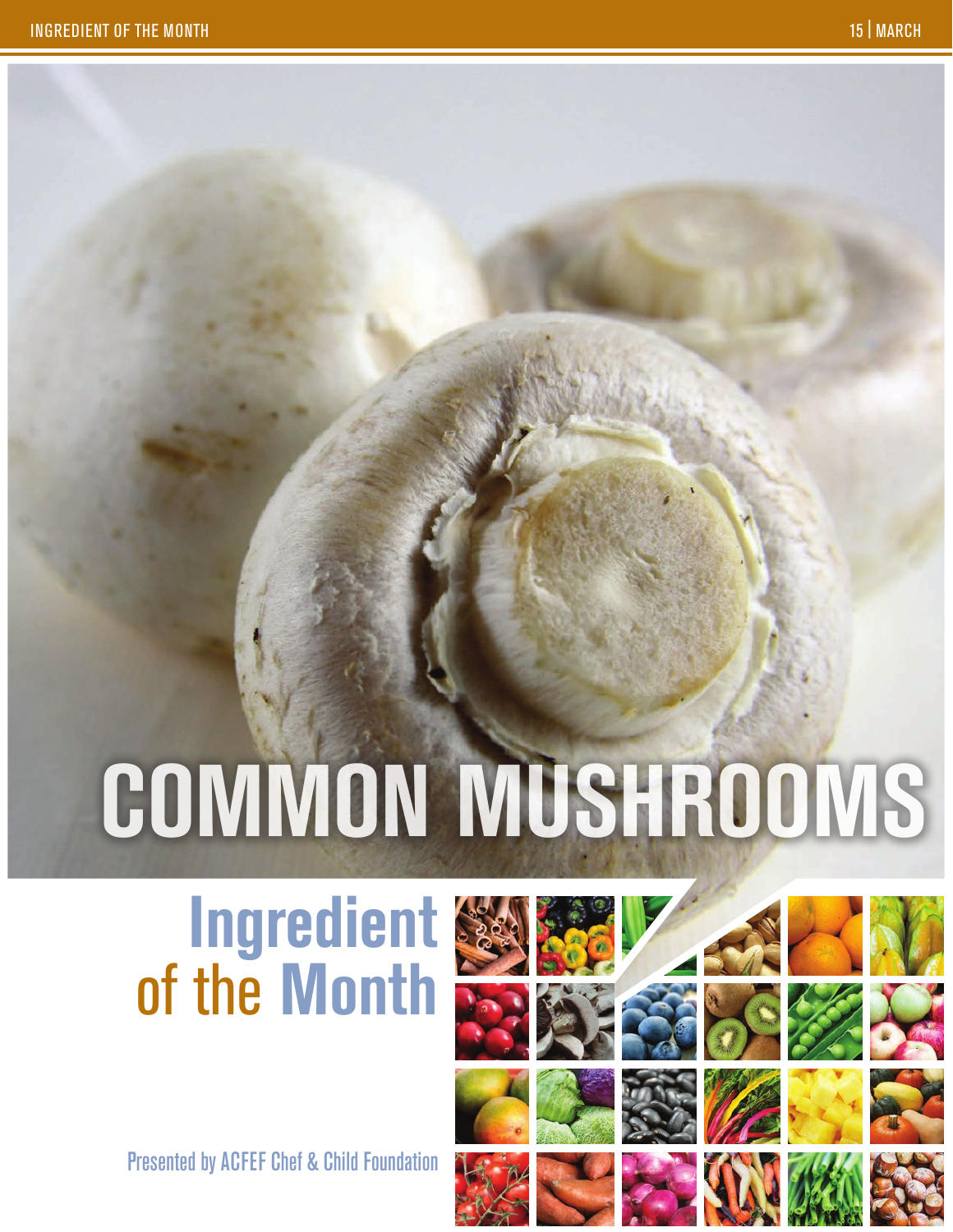# **Common mushrooms**

## **Ingredient** of the **Month**

Presented by ACFEF Chef & Child Foundation



















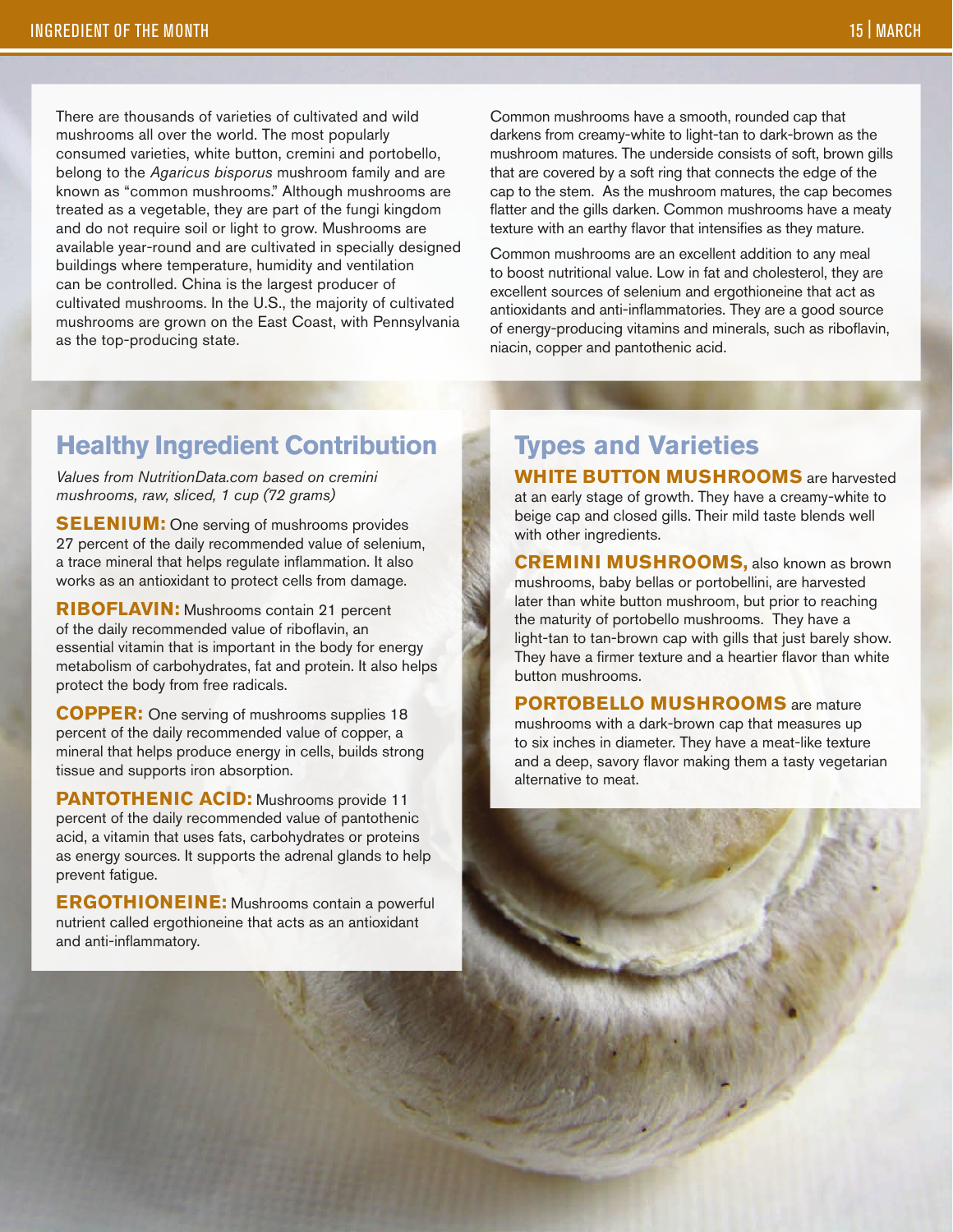There are thousands of varieties of cultivated and wild mushrooms all over the world. The most popularly consumed varieties, white button, cremini and portobello, belong to the *Agaricus bisporus* mushroom family and are known as "common mushrooms." Although mushrooms are treated as a vegetable, they are part of the fungi kingdom and do not require soil or light to grow. Mushrooms are available year-round and are cultivated in specially designed buildings where temperature, humidity and ventilation can be controlled. China is the largest producer of cultivated mushrooms. In the U.S., the majority of cultivated mushrooms are grown on the East Coast, with Pennsylvania as the top-producing state.

Common mushrooms have a smooth, rounded cap that darkens from creamy-white to light-tan to dark-brown as the mushroom matures. The underside consists of soft, brown gills that are covered by a soft ring that connects the edge of the cap to the stem. As the mushroom matures, the cap becomes flatter and the gills darken. Common mushrooms have a meaty texture with an earthy flavor that intensifies as they mature.

Common mushrooms are an excellent addition to any meal to boost nutritional value. Low in fat and cholesterol, they are excellent sources of selenium and ergothioneine that act as antioxidants and anti-inflammatories. They are a good source of energy-producing vitamins and minerals, such as riboflavin, niacin, copper and pantothenic acid.

#### **Healthy Ingredient Contribution**

*Values from NutritionData.com based on cremini mushrooms, raw, sliced, 1 cup (72 grams)* 

**SELENIUM:** One serving of mushrooms provides 27 percent of the daily recommended value of selenium, a trace mineral that helps regulate inflammation. It also works as an antioxidant to protect cells from damage.

**Riboflavin:** Mushrooms contain 21 percent of the daily recommended value of riboflavin, an essential vitamin that is important in the body for energy metabolism of carbohydrates, fat and protein. It also helps protect the body from free radicals.

**COPPER:** One serving of mushrooms supplies 18 percent of the daily recommended value of copper, a mineral that helps produce energy in cells, builds strong tissue and supports iron absorption.

**PANTOTHENIC ACID:** Mushrooms provide 11 percent of the daily recommended value of pantothenic acid, a vitamin that uses fats, carbohydrates or proteins as energy sources. It supports the adrenal glands to help prevent fatigue.

**ERGOTHIONEINE:** Mushrooms contain a powerful nutrient called ergothioneine that acts as an antioxidant and anti-inflammatory.

#### **Types and Varieties**

**WHITE BUTTON MUSHROOMS** are harvested at an early stage of growth. They have a creamy-white to beige cap and closed gills. Their mild taste blends well with other ingredients.

**Cremini mushrooms,** also known as brown mushrooms, baby bellas or portobellini, are harvested later than white button mushroom, but prior to reaching the maturity of portobello mushrooms. They have a light-tan to tan-brown cap with gills that just barely show. They have a firmer texture and a heartier flavor than white button mushrooms.

**PORTOBELLO MUSHROOMS** are mature mushrooms with a dark-brown cap that measures up to six inches in diameter. They have a meat-like texture and a deep, savory flavor making them a tasty vegetarian alternative to meat.